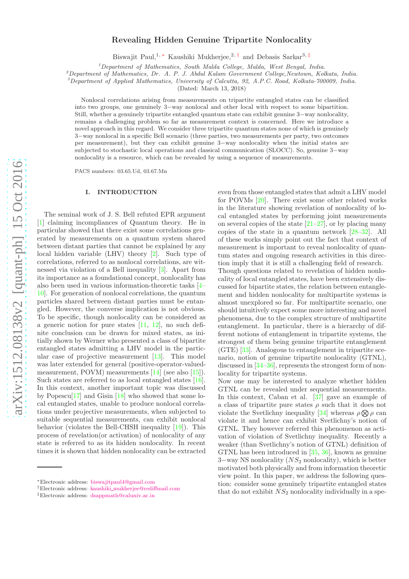# arXiv:1512.08138v2 [quant-ph] 15 Oct 2016 [arXiv:1512.08138v2 \[quant-ph\] 15 Oct 2016](http://arxiv.org/abs/1512.08138v2)

# Revealing Hidden Genuine Tripartite Nonlocality

Biswajit Paul,<sup>1, [∗](#page-0-0)</sup> Kaushiki Mukherjee,<sup>2,[†](#page-0-1)</sup> and Debasis Sarkar<sup>3,[‡](#page-0-2)</sup>

 $1$ Department of Mathematics, South Malda College, Malda, West Bengal, India.

 $^{2}$ Department of Mathematics, Dr. A. P. J. Abdul Kalam Government College,Newtown, Kolkata, India.

 $3$ Department of Applied Mathematics, University of Calcutta, 92, A.P.C. Road, Kolkata-700009, India.

(Dated: March 13, 2018)

Nonlocal correlations arising from measurements on tripartite entangled states can be classified into two groups, one genuinely 3−way nonlocal and other local with respect to some bipartition. Still, whether a genuinely tripartite entangled quantum state can exhibit genuine 3−way nonlocality, remains a challenging problem so far as measurement context is concerned. Here we introduce a novel approach in this regard. We consider three tripartite quantum states none of which is genuinely 3−way nonlocal in a specific Bell scenario (three parties, two measurements per party, two outcomes per measurement), but they can exhibit genuine 3−way nonlocality when the initial states are subjected to stochastic local operations and classical communication (SLOCC). So, genuine 3−way nonlocality is a resource, which can be revealed by using a sequence of measurements.

PACS numbers: 03.65.Ud, 03.67.Mn

# I. INTRODUCTION

The seminal work of J. S. Bell refuted EPR argument [\[1\]](#page-6-0) claiming incompliances of Quantum theory. He in particular showed that there exist some correlations generated by measurements on a quantum system shared between distant parties that cannot be explained by any local hidden variable (LHV) theory [\[2\]](#page-6-1). Such type of correlations, referred to as nonlocal correlations, are witnessed via violation of a Bell inequality [\[3\]](#page-6-2). Apart from its importance as a foundational concept, nonlocality has also been used in various information-theoretic tasks [\[4](#page-6-3)– [10\]](#page-6-4). For generation of nonlocal correlations, the quantum particles shared between distant parties must be entangled. However, the converse implication is not obvious. To be specific, though nonlocality can be considered as a generic notion for pure states  $[11, 12]$  $[11, 12]$  $[11, 12]$ , no such definite conclusion can be drawn for mixed states, as initially shown by Werner who presented a class of bipartite entangled states admitting a LHV model in the particular case of projective measurement [\[13](#page-6-7)]. This model was later extended for general (positive-operator-valuedmeasurement, POVM) measurements [\[14\]](#page-6-8) (see also [\[15\]](#page-6-9)). Such states are referred to as local entangled states [\[16\]](#page-6-10). In this context, another important topic was discussed by Popescu<sup>[\[17](#page-6-11)]</sup> and Gisin  $\boxed{18}$  who showed that some local entangled states, unable to produce nonlocal correlations under projective measurements, when subjected to suitable sequential measurements, can exhibit nonlocal behavior (violates the Bell-CHSH inequality [\[19\]](#page-6-13)). This process of revelation(or activation) of nonlocality of any state is referred to as its hidden nonlocality. In recent times it is shown that hidden nonlocality can be extracted even from those entangled states that admit a LHV model for POVMs [\[20\]](#page-6-14). There exist some other related works in the literature showing revelation of nonlocality of local entangled states by performing joint measurements on several copies of the state  $[21-27]$ , or by placing many copies of the state in a quantum network [\[28](#page-6-17)[–32\]](#page-6-18). All of these works simply point out the fact that context of measurement is important to reveal nonlocality of quantum states and ongoing research activities in this direction imply that it is still a challenging field of research. Though questions related to revelation of hidden nonlocality of local entangled states, have been extensively discussed for bipartite states, the relation between entanglement and hidden nonlocality for multipartite systems is almost unexplored so far. For multipartite scenario, one should intuitively expect some more interesting and novel phenomena, due to the complex structure of multipartite entanglement. In particular, there is a hierarchy of different notions of entanglement in tripartite systems, the strongest of them being genuine tripartite entanglement (GTE) [\[33](#page-6-19)]. Analogous to entanglement in tripartite scenario, notion of genuine tripartite nonlocality (GTNL), discussed in [\[34](#page-6-20)[–36\]](#page-6-21), represents the strongest form of nonlocality for tripartite systems.

Now one may be interested to analyze whether hidden GTNL can be revealed under sequential measurements. In this context, Caban et al. [\[37\]](#page-6-22) gave an example of a class of tripartite pure states  $\rho$  such that it does not violate the Svetlichny inequality [\[34\]](#page-6-20) whereas  $\rho \otimes \rho$  can violate it and hence can exhibit Svetlichny's notion of GTNL. They however referred this phenomenon as activation of violation of Svetlichny inequality. Recently a weaker (than Svetlichny's notion of GTNL) definition of GTNL has been introduced in [\[35](#page-6-23), [36\]](#page-6-21), known as genuine 3–way NS nonlocality  $(NS_2$  nonlocality), which is better motivated both physically and from information theoretic view point. In this paper, we address the following question: consider some genuinely tripartite entangled states that do not exhibit  $NS_2$  nonlocality individually in a spe-

<span id="page-0-0"></span><sup>∗</sup>Electronic address: [biswajitpaul4@gmail.com](mailto:biswajitpaul4@gmail.com)

<span id="page-0-1"></span><sup>†</sup>Electronic address: kaushiki [mukherjee@rediffmail.com](mailto:kaushiki_mukherjee@rediffmail.com)

<span id="page-0-2"></span><sup>‡</sup>Electronic address: [dsappmath@caluniv.ac.in](mailto:dsappmath@caluniv.ac.in)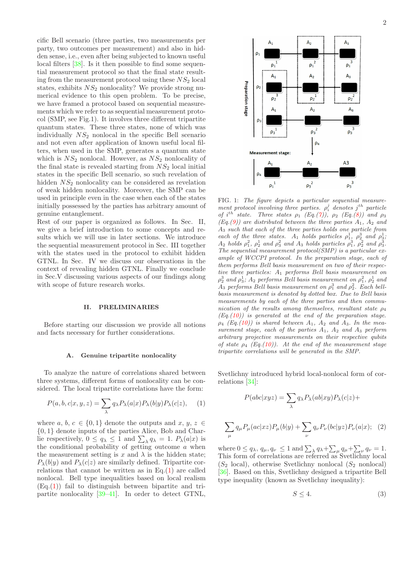cific Bell scenario (three parties, two measurements per party, two outcomes per measurement) and also in hidden sense, i.e., even after being subjected to known useful local filters [\[38](#page-6-24)]. Is it then possible to find some sequential measurement protocol so that the final state resulting from the measurement protocol using these  $NS<sub>2</sub>$  local states, exhibits  $NS<sub>2</sub>$  nonlocality? We provide strong numerical evidence to this open problem. To be precise, we have framed a protocol based on sequential measurements which we refer to as sequential measurement protocol (SMP, see Fig.1). It involves three different tripartite quantum states. These three states, none of which was individually  $NS<sub>2</sub>$  nonlocal in the specific Bell scenario and not even after application of known useful local filters, when used in the SMP, generates a quantum state which is  $NS<sub>2</sub>$  nonlocal. However, as  $NS<sub>2</sub>$  nonlocality of the final state is revealed starting from  $NS<sub>2</sub>$  local initial states in the specific Bell scenario, so such revelation of hidden  $NS<sub>2</sub>$  nonlocality can be considered as revelation of weak hidden nonlocality. Moreover, the SMP can be used in principle even in the case when each of the states initially possessed by the parties has arbitrary amount of genuine entanglement.

Rest of our paper is organized as follows. In Sec. II, we give a brief introduction to some concepts and results which we will use in later sections. We introduce the sequential measurement protocol in Sec. III together with the states used in the protocol to exhibit hidden GTNL. In Sec. IV we discuss our observations in the context of revealing hidden GTNL. Finally we conclude in Sec.V discussing various aspects of our findings along with scope of future research works.

### II. PRELIMINARIES

Before starting our discussion we provide all notions and facts necessary for further considerations.

### A. Genuine tripartite nonlocality

To analyze the nature of correlations shared between three systems, different forms of nonlocality can be considered. The local tripartite correlations have the form:

<span id="page-1-0"></span>
$$
P(a, b, c|x, y, z) = \sum_{\lambda} q_{\lambda} P_{\lambda}(a|x) P_{\lambda}(b|y) P_{\lambda}(c|z), \quad (1)
$$

where  $a, b, c \in \{0, 1\}$  denote the outputs and  $x, y, z \in$ {0, 1} denote inputs of the parties Alice, Bob and Charlie respectively,  $0 \le q_\lambda \le 1$  and  $\sum_\lambda q_\lambda = 1$ .  $P_\lambda(a|x)$  is the conditional probability of getting outcome  $a$  when the measurement setting is x and  $\lambda$  is the hidden state;  $P_{\lambda}(b|y)$  and  $P_{\lambda}(c|z)$  are similarly defined. Tripartite correlations that cannot be written as in Eq. $(1)$  are called nonlocal. Bell type inequalities based on local realism  $(E<sub>q</sub>, (1))$  $(E<sub>q</sub>, (1))$  $(E<sub>q</sub>, (1))$  fail to distinguish between bipartite and tripartite nonlocality [\[39](#page-6-25)[–41](#page-6-26)]. In order to detect GTNL,



FIG. 1: The figure depicts a particular sequential measurement protocol involving three parties.  $\rho_i^j$  denotes  $j^{th}$  particle of i<sup>th</sup> state. Three states  $\rho_1$  (Eq.[\(7\)](#page-3-0)),  $\rho_2$  (Eq.[\(8\)](#page-3-1)) and  $\rho_3$  $(Eq.(9))$  $(Eq.(9))$  $(Eq.(9))$  are distributed between the three parties  $A_1$ ,  $A_2$  and A<sup>3</sup> such that each of the three parties holds one particle from each of the three states.  $A_1$  holds particles  $\rho_1^1$ ,  $\rho_2^3$  and  $\rho_3^1$ ;<br> $A_1$  holds  $\rho_3^2$  and  $\rho_4^3$ ;  $A_2$  holds  $\rho_1^2$ ,  $\rho_2^1$  and  $\rho_3^2$  and  $A_3$  holds particles  $\rho_1^3$ ,  $\rho_2^2$  and  $\rho_3^3$ . The sequential measurement protocol(SMP) is a particular example of WCCPI protocol. In the preparation stage, each of them performs Bell basis measurement on two of their respective three particles: A<sup>1</sup> performs Bell basis measurement on  $\rho_2^3$  and  $\rho_3^1$ ;  $A_2$  performs Bell basis measurement on  $\rho_1^2$ ,  $\rho_2^1$  and  $A_3$  performs Bell basis measurement on  $\rho_1^3$  and  $\rho_2^2$ . Each bellbasis measurement is denoted by dotted box. Due to Bell basis measurements by each of the three parties and then communication of the results among themselves, resultant state  $\rho_4$  $(Eq.(10))$  $(Eq.(10))$  $(Eq.(10))$  is generated at the end of the preparation stage.  $\rho_4$  (Eq.[\(10\)](#page-3-3)) is shared between  $A_1$ ,  $A_2$  and  $A_3$ . In the measurement stage, each of the parties  $A_1$ ,  $A_2$  and  $A_3$  perform arbitrary projective measurements on their respective qubits of state  $\rho_4$  (Eq.[\(10\)](#page-3-3)). At the end of the measurement stage tripartite correlations will be generated in the SMP.

Svetlichny introduced hybrid local-nonlocal form of correlations [\[34](#page-6-20)]:

$$
P(abc|xyz) = \sum_{\lambda} q_{\lambda} P_{\lambda}(ab|xy) P_{\lambda}(c|z) +
$$
  

$$
\sum_{\mu} q_{\mu} P_{\mu}(ac|xz) P_{\mu}(b|y) + \sum_{\nu} q_{\nu} P_{\nu}(bc|yz) P_{\nu}(a|x); \quad (2)
$$

<span id="page-1-1"></span>where  $0 \le q_\lambda$ ,  $q_\mu$ ,  $q_\nu \le 1$  and  $\sum_{\lambda} q_\lambda + \sum_{\mu} q_\mu + \sum_{\nu} q_\nu = 1$ . This form of correlations are referred as Svetlichny local  $(S_2 \text{ local})$ , otherwise Svetlichny nonlocal  $(S_2 \text{ nonlocal})$ [\[36\]](#page-6-21). Based on this, Svetlichny designed a tripartite Bell type inequality (known as Svetlichny inequality):

<span id="page-1-2"></span>
$$
S \le 4. \tag{3}
$$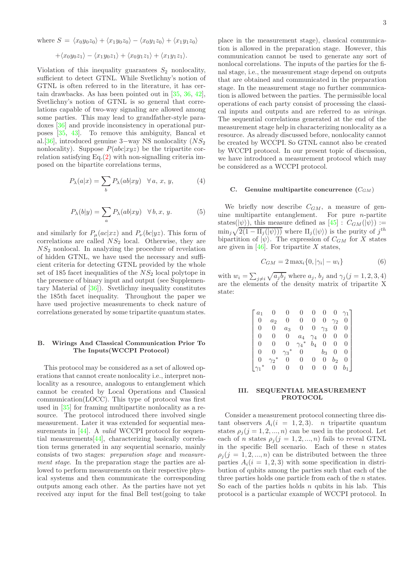$$
+\langle x_0y_0z_1\rangle-\langle x_1y_0z_1\rangle+\langle x_0y_1z_1\rangle+\langle x_1y_1z_1\rangle.
$$

Violation of this inequality guarantees  $S_2$  nonlocality, sufficient to detect GTNL. While Svetlichny's notion of GTNL is often referred to in the literature, it has certain drawbacks. As has been pointed out in [\[35](#page-6-23), [36,](#page-6-21) [42\]](#page-6-27), Svetlichny's notion of GTNL is so general that correlations capable of two-way signaling are allowed among some parties. This may lead to grandfather-style paradoxes [\[36](#page-6-21)] and provide inconsistency in operational purposes [\[35](#page-6-23), [43\]](#page-6-28). To remove this ambiguity, Bancal et al.[\[36](#page-6-21)], introduced genuine 3–way NS nonlocality  $(NS_2$ nonlocality). Suppose  $P(abc|xyz)$  be the tripartite correlation satisfying  $Eq.(2)$  $Eq.(2)$  with non-signalling criteria imposed on the bipartite correlations terms,

$$
P_{\lambda}(a|x) = \sum_{b} P_{\lambda}(ab|xy) \quad \forall a, x, y,
$$
 (4)

$$
P_{\lambda}(b|y) = \sum_{a} P_{\lambda}(ab|xy) \quad \forall \, b, x, y. \tag{5}
$$

and similarly for  $P_{\mu}(ac|xz)$  and  $P_{\nu}(bc|yz)$ . This form of correlations are called  $NS<sub>2</sub>$  local. Otherwise, they are  $NS<sub>2</sub>$  nonlocal. In analyzing the procedure of revelation of hidden GTNL, we have used the necessary and sufficient criteria for detecting GTNL provided by the whole set of 185 facet inequalities of the  $NS<sub>2</sub>$  local polytope in the presence of binary input and output (see Supplementary Material of [\[36](#page-6-21)]). Svetlichny inequality constitutes the 185th facet inequality. Throughout the paper we have used projective measurements to check nature of correlations generated by some tripartite quantum states.

# B. Wirings And Classical Communication Prior To The Inputs(WCCPI Protocol)

This protocol may be considered as a set of allowed operations that cannot create nonlocality i.e., interpret nonlocality as a resource, analogous to entanglement which cannot be created by Local Operations and Classical communication(LOCC). This type of protocol was first used in [\[35](#page-6-23)] for framing multipartite nonlocality as a resource. The protocol introduced there involved single measurement. Later it was extended for sequential mea-surements in [\[44](#page-6-29)]. A *valid* WCCPI protocol for sequential measurements[\[44\]](#page-6-29), characterizing basically correlation terms generated in any sequential scenario, mainly consists of two stages: preparation stage and measurement stage. In the preparation stage the parties are allowed to perform measurements on their respective physical systems and then communicate the corresponding outputs among each other. As the parties have not yet received any input for the final Bell test(going to take place in the measurement stage), classical communication is allowed in the preparation stage. However, this communication cannot be used to generate any sort of nonlocal correlations. The inputs of the parties for the final stage, i.e., the measurement stage depend on outputs that are obtained and communicated in the preparation stage. In the measurement stage no further communication is allowed between the parties. The permissible local operations of each party consist of processing the classical inputs and outputs and are referred to as wirings. The sequential correlations generated at the end of the measurement stage help in characterizing nonlocality as a resource. As already discussed before, nonlocality cannot be created by WCCPI. So GTNL cannot also be created by WCCPI protocol. In our present topic of discussion, we have introduced a measurement protocol which may be considered as a WCCPI protocol.

### C. Genuine multipartite concurrence  $(C_{GM})$

We briefly now describe  $C_{GM}$ , a measure of genuine multipartite entanglement. For pure  $n$ -partite states( $|\psi\rangle$ ), this measure defined as  $[45]$ :  $C_{GM}(|\psi\rangle)$ :=  $\min_j \sqrt{2(1-\Pi_j(|\psi\rangle))}$  where  $\Pi_j(|\psi\rangle)$  is the purity of  $j^{th}$ bipartition of  $|\psi\rangle$ . The expression of  $C_{GM}$  for X states are given in  $[46]$ . For tripartite X states,

<span id="page-2-0"></span>
$$
C_{GM} = 2 \max_{i} \{0, |\gamma_i| - w_i\}
$$
 (6)

with  $w_i = \sum_{j \neq i} \sqrt{a_j b_j}$  where  $a_j$ ,  $b_j$  and  $\gamma_j (j = 1, 2, 3, 4)$ are the elements of the density matrix of tripartite X state:

| a <sub>1</sub>   |                |            |                      |                  | 0          |            |                  |
|------------------|----------------|------------|----------------------|------------------|------------|------------|------------------|
| 0                | a <sub>2</sub> | 0          | 0                    | 0                | 0          | $\gamma_2$ |                  |
| $\left( \right)$ | 0              | $a_3$      | $\left( \right)$     |                  | $\gamma_3$ | 0          | 0                |
| $\left( \right)$ |                | 0          | $a_4$                | $\gamma_4$       | 0          | 0          |                  |
| 0                |                |            | $\ast$<br>$\gamma_4$ | $b_4$            | 0          | 0          |                  |
|                  |                | $\gamma_3$ | 0                    |                  | $b_3$      | 0          | $\left( \right)$ |
|                  |                |            | 0                    | O                | 0          | $b_2$      |                  |
|                  |                |            | $\mathbf{\Omega}$    | $\left( \right)$ | 0          |            |                  |

### III. SEQUENTIAL MEASUREMENT PROTOCOL

Consider a measurement protocol connecting three distant observers  $A_i(i = 1, 2, 3)$ . *n* tripartite quantum states  $\rho_j$  (j = 1, 2, ..., n) can be used in the protocol. Let each of n states  $\rho_j (j = 1, 2, ..., n)$  fails to reveal GTNL in the specific Bell scenario. Each of these  $n$  states  $\rho_i$  (j = 1, 2, ..., n) can be distributed between the three parties  $A_i(i = 1, 2, 3)$  with some specification in distribution of qubits among the parties such that each of the three parties holds one particle from each of the *n* states. So each of the parties holds  $n$  qubits in his lab. This protocol is a particular example of WCCPI protocol. In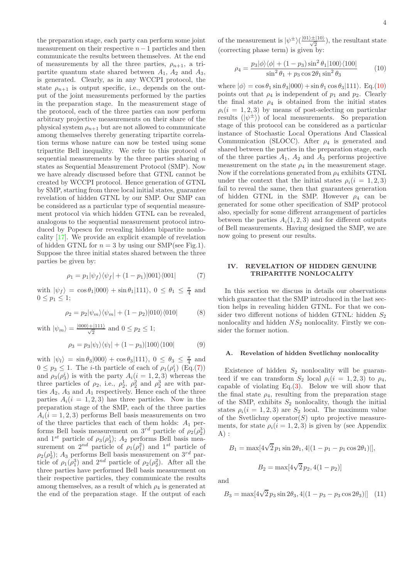the preparation stage, each party can perform some joint measurement on their respective  $n-1$  particles and then communicate the results between themselves. At the end of measurements by all the three parties,  $\rho_{n+1}$ , a tripartite quantum state shared between  $A_1$ ,  $A_2$  and  $A_3$ , is generated. Clearly, as in any WCCPI protocol, the state  $\rho_{n+1}$  is output specific, i.e., depends on the output of the joint measurements performed by the parties in the preparation stage. In the measurement stage of the protocol, each of the three parties can now perform arbitrary projective measurements on their share of the physical system  $\rho_{n+1}$  but are not allowed to communicate among themselves thereby generating tripartite correlation terms whose nature can now be tested using some tripartite Bell inequality. We refer to this protocol of sequential measurements by the three parties sharing  $n$ states as Sequential Measurement Protocol (SMP). Now we have already discussed before that GTNL cannot be created by WCCPI protocol. Hence generation of GTNL by SMP, starting from three local initial states, guarantee revelation of hidden GTNL by our SMP. Our SMP can be considered as a particular type of sequential measurement protocol via which hidden GTNL can be revealed, analogous to the sequential measurement protocol introduced by Popescu for revealing hidden bipartite nonlocality [\[17\]](#page-6-11). We provide an explicit example of revelation of hidden GTNL for  $n = 3$  by using our SMP(see Fig.1). Suppose the three initial states shared between the three parties be given by:

<span id="page-3-0"></span>
$$
\rho_1 = p_1 |\psi_f\rangle\langle\psi_f| + (1 - p_1)|001\rangle\langle001| \tag{7}
$$

with  $|\psi_f\rangle = \cos \theta_1 |000\rangle + \sin \theta_1 |111\rangle, 0 \le \theta_1 \le \frac{\pi}{4}$  and  $0 \leq p_1 \leq 1$ ;

<span id="page-3-2"></span><span id="page-3-1"></span>
$$
\rho_2 = p_2 |\psi_m\rangle\langle\psi_m| + (1 - p_2)|010\rangle\langle010| \tag{8}
$$

with  $|\psi_m\rangle = \frac{|000\rangle + |111\rangle}{\sqrt{2}}$  and  $0 \le p_2 \le 1$ ;  $\rho_3 = p_3 |\psi_l\rangle\langle\psi_l| + (1 - p_3)|100\rangle\langle100|$  (9)

with  $|\psi_l\rangle = \sin \theta_3 |000\rangle + \cos \theta_3 |111\rangle, 0 \le \theta_3 \le \frac{\pi}{4}$  and  $0 \leq p_3 \leq 1$ . The *i*-th particle of each of  $\rho_1(\rho_1^i)$  (Eq.[\(7\)](#page-3-0)) and  $\rho_3(\rho_3^i)$  is with the party  $A_i(i=1,2,3)$  whereas the three particles of  $\rho_2$ , i.e.,  $\rho_2^1$ ,  $\rho_2^2$  and  $\rho_2^3$  are with parties  $A_2$ ,  $A_3$  and  $A_1$  respectively. Hence each of the three parties  $A_i(i = 1, 2, 3)$  has three particles. Now in the preparation stage of the SMP, each of the three parties  $A_i(i = 1, 2, 3)$  performs Bell basis measurements on two of the three particles that each of them holds:  $A_1$  performs Bell basis measurement on  $3^{rd}$  particle of  $\rho_2(\rho_2^3)$ and  $1^{st}$  particle of  $\rho_3(\rho_3^1)$ ;  $A_2$  performs Bell basis measurement on  $2^{nd}$  particle of  $\rho_1(\rho_1^2)$  and  $1^{st}$  particle of  $\rho_2(\rho_2^1)$ ;  $A_3$  performs Bell basis measurement on  $3^{rd}$  particle of  $\rho_1(\rho_1^3)$  and  $2^{nd}$  particle of  $\rho_2(\rho_2^2)$ . After all the three parties have performed Bell basis measurement on their respective particles, they communicate the results among themselves, as a result of which  $\rho_4$  is generated at the end of the preparation stage. If the output of each

4

of the measurement is  $|\psi^{\pm}\rangle(\frac{|01\rangle\pm|10\rangle}{\sqrt{2}})$ , the resultant state (correcting phase term) is given by:

<span id="page-3-3"></span>
$$
\rho_4 = \frac{p_3|\phi\rangle\langle\phi| + (1 - p_3)\sin^2\theta_1|100\rangle\langle100|}{\sin^2\theta_1 + p_3\cos 2\theta_1\sin^2\theta_3}
$$
(10)

where  $|\phi\rangle = \cos \theta_1 \sin \theta_3 |000\rangle + \sin \theta_1 \cos \theta_3 |111\rangle$ . Eq.[\(10\)](#page-3-3) points out that  $\rho_4$  is independent of  $p_1$  and  $p_2$ . Clearly the final state  $\rho_4$  is obtained from the initial states  $\rho_i(i = 1, 2, 3)$  by means of post-selecting on particular results  $(|\psi^{\pm}\rangle)$  of local measurements. So preparation stage of this protocol can be considered as a particular instance of Stochastic Local Operations And Classical Communication (SLOCC). After  $\rho_4$  is generated and shared between the parties in the preparation stage, each of the three parties  $A_1$ ,  $A_2$  and  $A_3$  performs projective measurement on the state  $\rho_4$  in the measurement stage. Now if the correlations generated from  $\rho_4$  exhibits GTNL under the context that the initial states  $\rho_i(i = 1, 2, 3)$ fail to reveal the same, then that guarantees generation of hidden GTNL in the SMP. However  $\rho_4$  can be generated for some other specification of SMP protocol also, specially for some different arrangement of particles between the parties  $A_i(1, 2, 3)$  and for different outputs of Bell measurements. Having designed the SMP, we are now going to present our results.

### IV. REVELATION OF HIDDEN GENUINE TRIPARTITE NONLOCALITY

In this section we discuss in details our observations which guarantee that the SMP introduced in the last section helps in revealing hidden GTNL. For that we consider two different notions of hidden GTNL: hidden  $S_2$ nonlocality and hidden  $NS<sub>2</sub>$  nonlocality. Firstly we consider the former notion.

### A. Revelation of hidden Svetlichny nonlocality

Existence of hidden  $S_2$  nonlocality will be guaranteed if we can transform  $S_2$  local  $\rho_i(i = 1, 2, 3)$  to  $\rho_4$ , capable of violating Eq. $(3)$ . Below we will show that the final state  $\rho_4$ , resulting from the preparation stage of the SMP, exhibits  $S_2$  nonlocality, though the initial states  $\rho_i(i = 1, 2, 3)$  are  $S_2$  local. The maximum value of the Svetlichny operator( $S$ ) upto projective measurements, for state  $\rho_i(i = 1, 2, 3)$  is given by (see Appendix  $A)$ :

$$
B_1 = \max[4\sqrt{2} p_1 \sin 2\theta_1, 4|(1 - p_1 - p_1 \cos 2\theta_1)|],
$$
  

$$
B_2 = \max[4\sqrt{2} p_2, 4(1 - p_2)]
$$

and

<span id="page-3-4"></span>
$$
B_3 = \max[4\sqrt{2} p_3 \sin 2\theta_3, 4|(1 - p_3 - p_3 \cos 2\theta_3)|] \quad (11)
$$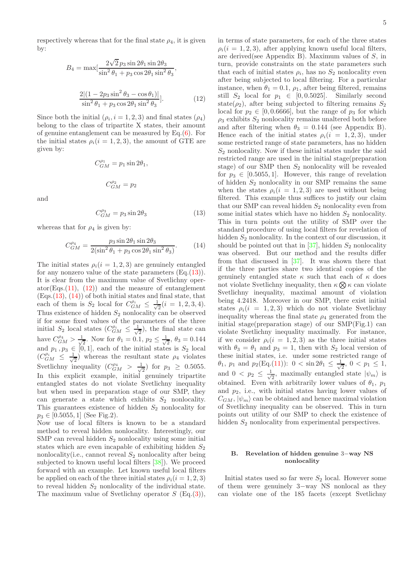respectively whereas that for the final state  $\rho_4$ , it is given by:

<span id="page-4-1"></span>
$$
B_4 = \max[\frac{2\sqrt{2}p_3\sin 2\theta_1\sin 2\theta_3}{\sin^2\theta_1 + p_3\cos 2\theta_1\sin^2\theta_3},
$$
  

$$
\frac{2|(1-2p_3\sin^2\theta_3-\cos\theta_1)|}{\sin^2\theta_1 + p_3\cos 2\theta_1\sin^2\theta_3}].
$$
 (12)

Since both the initial  $(\rho_i, i = 1, 2, 3)$  and final states  $(\rho_4)$ belong to the class of tripartite X states, their amount of genuine entanglement can be measured by Eq.[\(6\)](#page-2-0). For the initial states  $\rho_i(i = 1, 2, 3)$ , the amount of GTE are given by:

$$
C_{GM}^{\rho_1} = p_1 \sin 2\theta_1,
$$
  

$$
C_{GM}^{\rho_2} = p_2
$$

and

<span id="page-4-0"></span>
$$
C_{GM}^{\rho_3} = p_3 \sin 2\theta_3 \tag{13}
$$

whereas that for  $\rho_4$  is given by:

<span id="page-4-2"></span>
$$
C_{GM}^{\rho_4} = \frac{p_3 \sin 2\theta_1 \sin 2\theta_3}{2(\sin^2 \theta_1 + p_3 \cos 2\theta_1 \sin^2 \theta_3)}.
$$
 (14)

The initial states  $\rho_i(i = 1, 2, 3)$  are genuinely entangled for any nonzero value of the state parameters  $(Eq.(13))$  $(Eq.(13))$  $(Eq.(13))$ . It is clear from the maximum value of Svetlichny oper- $ator(Eqs.(11), (12))$  $ator(Eqs.(11), (12))$  $ator(Eqs.(11), (12))$  $ator(Eqs.(11), (12))$  $ator(Eqs.(11), (12))$  and the measure of entanglement  $(Eqs.(13), (14))$  $(Eqs.(13), (14))$  $(Eqs.(13), (14))$  $(Eqs.(13), (14))$  $(Eqs.(13), (14))$  of both initial states and final state, that each of them is  $S_2$  local for  $C_{GM}^{\rho_i} \leq \frac{1}{\sqrt{n}}$  $\frac{1}{2}(i = 1, 2, 3, 4).$ Thus existence of hidden  $S_2$  nonlocality can be observed if for some fixed values of the parameters of the three initial  $S_2$  local states  $(C_{GM}^{\rho_i} \leq \frac{1}{\sqrt{n}})$  $\frac{1}{2}$ , the final state can have  $C_{GM}^{\rho_4} > \frac{1}{\sqrt{2}}$  $\frac{1}{2}$ . Now for  $\theta_1 = 0.1$ ,  $p_2 \leq \frac{1}{\sqrt{2}}$  $\frac{1}{2}$ ,  $\theta_3 = 0.144$ and  $p_1, p_3 \in [0, 1]$ , each of the initial states is  $S_2$  local  $(C_{GM}^{\rho_i}) \leq \frac{1}{\sqrt{2}}$  $\frac{1}{2}$ ) whereas the resultant state  $\rho_4$  violates Svetlichny inequality  $(C_{GM}^{\rho_4} > \frac{1}{\sqrt{2}})$  $\frac{1}{2}$  for  $p_3 \geq 0.5055$ . In this explicit example, initial genuinely tripartite entangled states do not violate Svetlichny inequality but when used in preparation stage of our SMP, they can generate a state which exhibits  $S_2$  nonlocality. This guarantees existence of hidden  $S_2$  nonlocality for  $p_3 \in [0.5055, 1]$  (See Fig.2).

Now use of local filters is known to be a standard method to reveal hidden nonlocality. Interestingly, our SMP can reveal hidden  $S_2$  nonlocality using some initial states which are even incapable of exhibiting hidden  $S_2$ nonlocality(i.e., cannot reveal  $S_2$  nonlocality after being subjected to known useful local filters [\[38\]](#page-6-24)). We proceed forward with an example. Let known useful local filters be applied on each of the three initial states  $\rho_i(i = 1, 2, 3)$ to reveal hidden  $S_2$  nonlocality of the individual state. The maximum value of Svetlichny operator  $S$  (Eq.[\(3\)](#page-1-2)),

in terms of state parameters, for each of the three states  $\rho_i(i = 1, 2, 3)$ , after applying known useful local filters, are derived(see Appendix B). Maximum values of S, in turn, provide constraints on the state parameters such that each of initial states  $\rho_i$ , has no  $S_2$  nonlocality even after being subjected to local filtering. For a particular instance, when  $\theta_1 = 0.1$ ,  $\rho_1$ , after being filtered, remains still  $S_2$  local for  $p_1 \in [0, 0.5025]$ . Similarly second state( $\rho_2$ ), after being subjected to filtering remains  $S_2$ local for  $p_2 \in [0, 0.6666]$ , but the range of  $p_3$  for which  $\rho_3$  exhibits  $S_2$  nonlocality remains unaltered both before and after filtering when  $\theta_3 = 0.144$  (see Appendix B). Hence each of the initial states  $\rho_i(i = 1, 2, 3)$ , under some restricted range of state parameters, has no hidden  $S_2$  nonlocality. Now if these initial states under the said restricted range are used in the initial stage(preparation stage) of our SMP then  $S_2$  nonlocality will be revealed for  $p_3 \in [0.5055, 1]$ . However, this range of revelation of hidden  $S_2$  nonlocality in our SMP remains the same when the states  $\rho_i(i = 1, 2, 3)$  are used without being filtered. This example thus suffices to justify our claim that our SMP can reveal hidden  $S_2$  nonlocality even from some initial states which have no hidden  $S_2$  nonlocality. This in turn points out the utility of SMP over the standard procedure of using local filters for revelation of hidden  $S_2$  nonlocality. In the context of our discussion, it should be pointed out that in [\[37\]](#page-6-22), hidden  $S_2$  nonlocality was observed. But our method and the results differ from that discussed in [\[37\]](#page-6-22). It was shown there that if the three parties share two identical copies of the genuinely entangled state  $\kappa$  such that each of  $\kappa$  does not violate Svetlichny inequality, then  $\kappa \otimes \kappa$  can violate Svetlichny inequality, maximal amount of violation being 4.2418. Moreover in our SMP, there exist initial states  $\rho_i(i = 1, 2, 3)$  which do not violate Svetlichny inequality whereas the final state  $\rho_4$  generated from the initial stage(preparation stage) of our SMP(Fig.1) can violate Svetlichny inequality maximally. For instance, if we consider  $\rho_i(i = 1, 2, 3)$  as the three initial states with  $\theta_3 = \theta_1$  and  $p_3 = 1$ , then with  $S_2$  local version of these initial states, i.e. under some restricted range of  $\theta_1$ ,  $p_1$  and  $p_2(Eq.(11))$  $p_2(Eq.(11))$  $p_2(Eq.(11))$ :  $0 < \sin 2\theta_1 \leq \frac{1}{\sqrt{2}}$  $\frac{1}{2}$ ,  $0 < p_1 \leq 1$ , and  $0 < p_2 \leq \frac{1}{\sqrt{2}}$  $\frac{1}{2}$ , maximally entangled state  $|\psi_m\rangle$  is obtained. Even with arbitrarily lower values of  $\theta_1$ ,  $p_1$ and  $p_2$ , i.e., with initial states having lower values of  $C_{GM}$ ,  $|\psi_m\rangle$  can be obtained and hence maximal violation of Svetlichny inequality can be observed. This in turn points out utility of our SMP to check the existence of hidden  $S_2$  nonlocality from experimental perspectives.

### B. Revelation of hidden genuine 3−way NS nonlocality

Initial states used so far were  $S_2$  local. However some of them were genuinely 3−way NS nonlocal as they can violate one of the 185 facets (except Svetlichny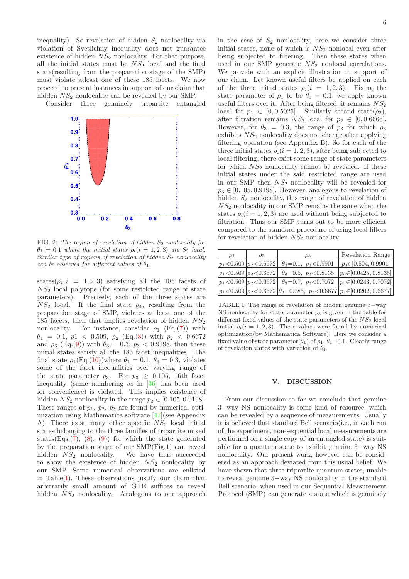inequality). So revelation of hidden  $S_2$  nonlocality via violation of Svetlichny inequality does not guarantee existence of hidden  $NS<sub>2</sub>$  nonlocality. For that purpose, all the initial states must be  $NS<sub>2</sub>$  local and the final state(resulting from the preparation stage of the SMP) must violate atleast one of these 185 facets. We now proceed to present instances in support of our claim that hidden  $NS<sub>2</sub>$  nonlocality can be revealed by our SMP.

Consider three genuinely tripartite entangled



FIG. 2: The region of revelation of hidden  $S_2$  nonlocality for  $\theta_1 = 0.1$  where the initial states  $\rho_i(i = 1, 2, 3)$  are  $S_2$  local. Similar type of regions of revelation of hidden  $S_2$  nonlocality can be observed for different values of  $\theta_1$ .

states( $\rho_i$ , i = 1, 2, 3) satisfying all the 185 facets of  $NS<sub>2</sub>$  local polytope (for some restricted range of state parameters). Precisely, each of the three states are  $NS<sub>2</sub>$  local. If the final state  $\rho_4$ , resulting from the preparation stage of SMP, violates at least one of the 185 facets, then that implies revelation of hidden  $NS_2$ nonlocality. For instance, consider  $\rho_1$  (Eq.[\(7\)](#page-3-0)) with  $\theta_1 = 0.1, p1 < 0.509, \rho_2$  (Eq.[\(8\)](#page-3-1)) with  $p_2 < 0.6672$ and  $\rho_3$  (Eq.[\(9\)](#page-3-2)) with  $\theta_3 = 0.3$ ,  $p_3 < 0.9198$ , then these initial states satisfy all the 185 facet inequalities. The final state  $\rho_4(\text{Eq.}(10))$  $\rho_4(\text{Eq.}(10))$  $\rho_4(\text{Eq.}(10))$  where  $\theta_1 = 0.1$ ,  $\theta_3 = 0.3$ , violates some of the facet inequalities over varying range of the state parameter  $p_3$ . For  $p_3 > 0.105$ , 16th facet inequality (same numbering as in [\[36\]](#page-6-21) has been used for convenience) is violated. This implies existence of hidden  $NS_2$  nonlocality in the range  $p_3 \in [0.105, 0.9198]$ . These ranges of  $p_1$ ,  $p_2$ ,  $p_3$  are found by numerical optimization using Mathematica software [\[47\]](#page-6-32)(see Appendix A). There exist many other specific  $NS<sub>2</sub>$  local initial states belonging to the three families of tripartite mixed states(Eqs.[\(7\)](#page-3-0), [\(8\)](#page-3-1), [\(9\)](#page-3-2)) for which the state generated by the preparation stage of our SMP(Fig.1) can reveal hidden  $NS<sub>2</sub>$  nonlocality. We have thus succeeded to show the existence of hidden  $NS<sub>2</sub>$  nonlocality by our SMP. Some numerical observations are enlisted in Table[\(I\)](#page-5-0). These observations justify our claim that arbitrarily small amount of GTE suffices to reveal hidden  $NS<sub>2</sub>$  nonlocality. Analogous to our approach in the case of  $S_2$  nonlocality, here we consider three initial states, none of which is  $NS<sub>2</sub>$  nonlocal even after being subjected to filtering. Then these states when used in our SMP generate  $NS<sub>2</sub>$  nonlocal correlations. We provide with an explicit illustration in support of our claim. Let known useful filters be applied on each of the three initial states  $\rho_i(i = 1, 2, 3)$ . Fixing the state parameter of  $\rho_1$  to be  $\theta_1 = 0.1$ , we apply known useful filters over it. After being filtered, it remains  $NS<sub>2</sub>$ local for  $p_1 \in [0, 0.5025]$ . Similarly second state( $\rho_2$ ), after filtration remains  $NS_2$  local for  $p_2 \in [0, 0.6666]$ . However, for  $\theta_3 = 0.3$ , the range of  $p_3$  for which  $\rho_3$ exhibits  $NS<sub>2</sub>$  nonlocality does not change after applying filtering operation (see Appendix B). So for each of the three initial states  $\rho_i(i = 1, 2, 3)$ , after being subjected to local filtering, there exist some range of state parameters for which  $NS<sub>2</sub>$  nonlocality cannot be revealed. If these initial states under the said restricted range are used in our SMP then  $NS<sub>2</sub>$  nonlocality will be revealed for  $p_3 \in [0.105, 0.9198]$ . However, analogous to revelation of hidden  $S_2$  nonlocality, this range of revelation of hidden  $NS<sub>2</sub>$  nonlocality in our SMP remains the same when the states  $\rho_i(i = 1, 2, 3)$  are used without being subjected to filtration. Thus our SMP turns out to be more efficient compared to the standard procedure of using local filters for revelation of hidden  $NS<sub>2</sub>$  nonlocality.

| $\rho_1$ | $\rho_2$                     | $\rho_3$                                                                                    | Revelation Range           |
|----------|------------------------------|---------------------------------------------------------------------------------------------|----------------------------|
|          | $p_1 < 0.509$ $p_2 < 0.6672$ | $\theta_3 = 0.1, p_3 < 0.9901$                                                              | $p_3 \in [0.504, 0.9901]$  |
|          |                              | $p_1 < 0.509$ $p_2 < 0.6672$ $\theta_3 = 0.5$ , $p_3 < 0.8135$                              | $p_3 \in [0.0425, 0.8135]$ |
|          |                              | $p_1 < 0.509$ $p_2 < 0.6672$ $\theta_3 = 0.7$ , $p_3 < 0.7072$                              | $p_3 \in [0.0243, 0.7072]$ |
|          |                              | $ p_1  < 0.509  p_2  < 0.6672   \theta_3 = 0.785, \ p_3 < 0.6677  p_3 \in [0.0202, 0.6677]$ |                            |

<span id="page-5-0"></span>TABLE I: The range of revelation of hidden genuine 3−way NS nonlocality for state parameter  $p_3$  is given in the table for different fixed values of the state parameters of the  $NS<sub>2</sub>$  local initial  $\rho_i(i = 1, 2, 3)$ . These values were found by numerical optimization(by Mathematica Software). Here we consider a fixed value of state parameter( $\theta_1$ ) of  $\rho_1$ ,  $\theta_1$ =0.1. Clearly range of revelation varies with variation of  $\theta_1$ .

### V. DISCUSSION

From our discussion so far we conclude that genuine 3−way NS nonlocality is some kind of resource, which can be revealed by a sequence of measurements. Usually it is believed that standard Bell scenario(i.e., in each run of the experiment, non-sequential local measurements are performed on a single copy of an entangled state) is suitable for a quantum state to exhibit genuine 3−way NS nonlocality. Our present work, however can be considered as an approach deviated from this usual belief. We have shown that three tripartite quantum states, unable to reveal genuine 3−way NS nonlocality in the standard Bell scenario, when used in our Sequential Measurement Protocol (SMP) can generate a state which is genuinely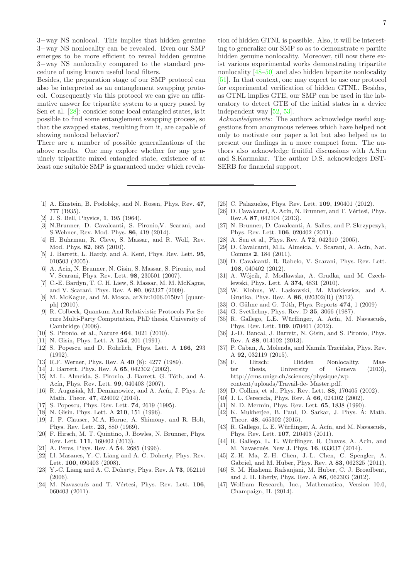3−way NS nonlocal. This implies that hidden genuine 3−way NS nonlocality can be revealed. Even our SMP emerges to be more efficient to reveal hidden genuine 3−way NS nonlocality compared to the standard procedure of using known useful local filters.

Besides, the preparation stage of our SMP protocol can also be interpreted as an entanglement swapping protocol. Consequently via this protocol we can give an affirmative answer for tripartite system to a query posed by Sen et al. [\[28](#page-6-17)]: consider some local entangled states, is it possible to find some entanglement swapping process, so that the swapped states, resulting from it, are capable of showing nonlocal behavior?

There are a number of possible generalizations of the above results. One may explore whether for any genuinely tripartite mixed entangled state, existence of at least one suitable SMP is guaranteed under which revelation of hidden GTNL is possible. Also, it will be interesting to generalize our SMP so as to demonstrate  $n$  partite hidden genuine nonlocality. Moreover, till now there exist various experimental works demonstrating tripartite nonlocality [\[48](#page-7-0)[–50\]](#page-7-1) and also hidden bipartite nonlocality [\[51\]](#page-7-2). In that context, one may expect to use our protocol for experimental verification of hidden GTNL. Besides, as GTNL implies GTE, our SMP can be used in the laboratory to detect GTE of the initial states in a device independent way [\[52](#page-7-3), [53\]](#page-7-4).

Acknowledgments: The authors acknowledge useful suggestions from anonymous referees which have helped not only to motivate our paper a lot but also helped us to present our findings in a more compact form. The authors also acknowledge fruitful discussions with A.Sen and S.Karmakar. The author D.S. acknowledges DST-SERB for financial support.

- <span id="page-6-0"></span>[1] A. Einstein, B. Podolsky, and N. Rosen, Phys. Rev. 47, 777 (1935).
- <span id="page-6-1"></span>[2] J. S. Bell, Physics, **1**, 195 (1964).
- <span id="page-6-2"></span>[3] N.Brunner, D. Cavalcanti, S. Pironio,V. Scarani, and S.Wehner, Rev. Mod. Phys. 86, 419 (2014).
- <span id="page-6-3"></span>[4] H. Buhrman, R. Cleve, S. Massar, and R. Wolf, Rev. Mod. Phys. 82, 665 (2010).
- [5] J. Barrett, L. Hardy, and A. Kent, Phys. Rev. Lett. 95, 010503 (2005).
- [6] A. Acín, N. Brunner, N. Gisin, S. Massar, S. Pironio. and V. Scarani, Phys. Rev. Lett. 98, 230501 (2007).
- [7] C.-E. Bardyn, T. C. H. Liew, S. Massar, M. M. McKague, and V. Scarani, Phys. Rev. A 80, 062327 (2009).
- [8] M. McKague, and M. Mosca, arXiv:1006.0150v1 [quantph] (2010).
- [9] R. Colbeck, Quantum And Relativistic Protocols For Secure Multi-Party Computation, PhD thesis, University of Cambridge (2006).
- <span id="page-6-4"></span>[10] S. Pironio, et al., Nature **464**, 1021 (2010).
- <span id="page-6-5"></span>[11] N. Gisin, Phys. Lett. A **154**, 201 (1991).
- <span id="page-6-6"></span>[12] S. Popescu and D. Rohrlich, Phys. Lett. A 166, 293 (1992).
- <span id="page-6-7"></span>[13] R.F. Werner, Phys. Rev. A 40 (8): 4277 (1989).
- <span id="page-6-8"></span>[14] J. Barrett, Phys. Rev. A **65**, 042302 (2002).
- <span id="page-6-9"></span>[15] M. L. Almeida, S. Pironio, J. Barrett, G. Tóth, and A. Acín, Phys. Rev. Lett. **99**, 040403 (2007).
- <span id="page-6-10"></span>[16] R. Augusiak, M. Demianowicz, and A. Acín, J. Phys. A: Math. Theor. 47, 424002 (2014).
- <span id="page-6-11"></span>[17] S. Popescu, Phys. Rev. Lett. **74**, 2619 (1995).
- <span id="page-6-12"></span>[18] N. Gisin, Phys. Lett. A **210**, 151 (1996).
- <span id="page-6-13"></span>[19] J. F. Clauser, M.A. Horne, A. Shimony, and R. Holt, Phys. Rev. Lett. 23, 880 (1969).
- <span id="page-6-14"></span>[20] F. Hirsch, M. T. Quintino, J. Bowles, N. Brunner, Phys. Rev. Lett. 111, 160402 (2013).
- <span id="page-6-15"></span>[21] A. Peres, Phys. Rev. A 54, 2685 (1996).
- [22] Ll. Masanes, Y.-C. Liang and A. C. Doherty, Phys. Rev. Lett. 100, 090403 (2008).
- [23] Y.-C. Liang and A. C. Doherty, Phys. Rev. A 73, 052116 (2006).
- [24] M. Navascués and T. Vértesi, Phys. Rev. Lett. 106, 060403 (2011).
- [25] C. Palazuelos, Phys. Rev. Lett. **109**, 190401 (2012).
- [26] D. Cavalcanti, A. Acín, N. Brunner, and T. Vértesi, Phys. Rev.A 87, 042104 (2013).
- <span id="page-6-16"></span>[27] N. Brunner, D. Cavalcanti, A. Salles, and P. Skrzypczyk, Phys. Rev. Lett. 106, 020402 (2011).
- <span id="page-6-17"></span>[28] A. Sen et al., Phys. Rev. A **72**, 042310 (2005).
- [29] D. Cavalcanti, M.L. Almeida, V. Scarani, A. Acín, Nat. Comms 2, 184 (2011).
- [30] D. Cavalcanti, R. Rabelo, V. Scarani, Phys. Rev. Lett. 108, 040402 (2012).
- [31] A. Wójcik, J. Modlawska, A. Grudka, and M. Czechlewski, Phys. Lett. A 374, 4831 (2010).
- <span id="page-6-18"></span>[32] W. Klobus, W. Laskowski, M. Markiewicz, and A. Grudka, Phys. Rev. A 86, 020302(R) (2012).
- <span id="page-6-19"></span>[33] O. Gühne and G. Tóth, Phys. Reports  $474$ , 1 (2009)
- <span id="page-6-20"></span>[34] G. Svetlichny, Phys. Rev. D **35**, 3066 (1987).
- <span id="page-6-23"></span>[35] R. Gallego, L.E. Würflinger, A. Acín, M. Navascués, Phys. Rev. Lett. 109, 070401 (2012).
- <span id="page-6-21"></span>[36] J.-D. Bancal, J. Barrett, N. Gisin, and S. Pironio, Phys. Rev. A 88, 014102 (2013).
- <span id="page-6-22"></span>[37] P. Caban, A. Molenda, and Kamila Trzcińska, Phys. Rev. A 92, 032119 (2015).
- <span id="page-6-24"></span>[38] F. Hirsch: Hidden Nonlocality. Master thesis, University of Geneva (2013), http://cms.unige.ch/sciences/physique/wpcontent/uploads/Travail-de- Master.pdf.
- <span id="page-6-25"></span>[39] D. Collins, et al., Phys. Rev. Lett. 88, 170405 (2002).
- [40] J. L. Cereceda, Phys. Rev. A 66, 024102 (2002).
- <span id="page-6-26"></span>[41] N. D. Mermin, Phys. Rev. Lett. 65, 1838 (1990).
- <span id="page-6-27"></span>[42] K. Mukherjee, B. Paul, D. Sarkar, J. Phys. A: Math. Theor. 48, 465302 (2015).
- <span id="page-6-28"></span> $[43]$  R. Gallego, L. E. Würflinger, A. Acín, and M. Navascués, Phys. Rev. Lett. 107, 210403 (2011).
- <span id="page-6-29"></span>[44] R. Gallego, L. E. Würflinger, R. Chaves, A. Acín, and M. Navascués, New J. Phys. **16**, 033037 (2014).
- <span id="page-6-30"></span>[45] Z.-H. Ma, Z.-H. Chen, J.-L. Chen, C. Spengler, A. Gabriel, and M. Huber, Phys. Rev. A 83, 062325 (2011).
- <span id="page-6-31"></span>[46] S. M. Hashemi Rafsanjani, M. Huber, C. J. Broadbent, and J. H. Eberly, Phys. Rev. A 86, 062303 (2012).
- <span id="page-6-32"></span>[47] Wolfram Research, Inc., Mathematica, Version 10.0, Champaign, IL (2014).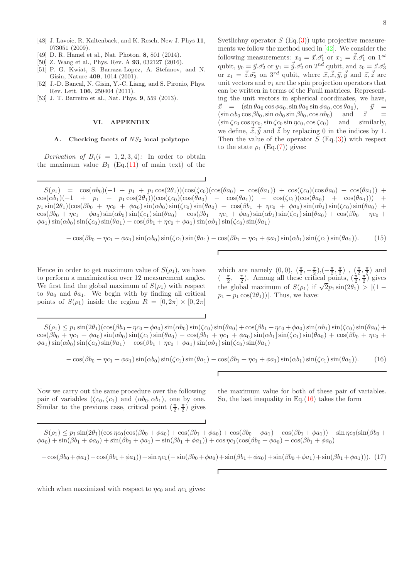- <span id="page-7-0"></span>[48] J. Lavoie, R. Kaltenbaek, and K. Resch, New J. Phys 11, 073051 (2009).
- [49] D. R. Hamel et al., Nat. Photon. 8, 801 (2014).
- <span id="page-7-1"></span>[50] Z. Wang et al., Phys. Rev. A 93, 032127 (2016).
- <span id="page-7-2"></span>[51] P. G. Kwiat, S. Barraza-Lopez, A. Stefanov, and N. Gisin, Nature 409, 1014 (2001).
- <span id="page-7-3"></span>[52] J.-D. Bancal, N. Gisin, Y.-C. Liang, and S. Pironio, Phys. Rev. Lett. 106, 250404 (2011).
- <span id="page-7-4"></span>[53] J. T. Barreiro et al., Nat. Phys. **9**, 559 (2013).

# VI. APPENDIX

### A. Checking facets of  $NS<sub>2</sub>$  local polytope

Derivation of  $B_i(i = 1, 2, 3, 4)$ : In order to obtain the maximum value  $B_1$  (Eq.[\(11\)](#page-3-4) of main text) of the Svetlichny operator  $S$  (Eq.[\(3\)](#page-1-2)) upto projective measurements we follow the method used in  $[42]$ . We consider the following measurements:  $x_0 = \vec{x} \cdot \vec{\sigma_1}$  or  $x_1 = \vec{x} \cdot \vec{\sigma_1}$  on  $1^{st}$ qubit,  $y_0 = \vec{y} \cdot \vec{\sigma_2}$  or  $y_1 = \vec{y} \cdot \vec{\sigma_2}$  on  $2^{nd}$  qubit, and  $z_0 = \vec{z} \cdot \vec{\sigma_3}$ or  $z_1 = \vec{\tilde{z}}.\vec{\sigma_3}$  on  $3^{rd}$  qubit, where  $\vec{x}, \vec{\tilde{x}}, \vec{y}, \vec{\tilde{y}}$  and  $\vec{z}, \vec{\tilde{z}}$  are unit vectors and  $\sigma_i$  are the spin projection operators that can be written in terms of the Pauli matrices. Representing the unit vectors in spherical coordinates, we have,  $\vec{x} = (\sin \theta a_0 \cos \phi a_0, \sin \theta a_0 \sin \phi a_0, \cos \theta a_0), \quad \vec{y} =$  $(\sin \alpha b_0 \cos \beta b_0, \sin \alpha b_0 \sin \beta b_0, \cos \alpha b_0)$  and  $\vec{z}$  =  $(\sin \zeta c_0 \cos \eta c_0, \sin \zeta c_0 \sin \eta c_0, \cos \zeta c_0)$  and similarly, we define,  $\vec{x}, \vec{y}$  and  $\vec{z}$  by replacing 0 in the indices by 1. Then the value of the operator  $S$  (Eq.[\(3\)](#page-1-2)) with respect to the state  $\rho_1$  (Eq.[\(7\)](#page-3-0)) gives:

 $S(\rho_1) = \cos(\alpha b_0)(-1 + p_1 + p_1 \cos(2\theta_1))(\cos(\zeta_{c_0})(\cos(\theta a_0) - \cos(\theta a_1)) + \cos(\zeta_{c_0})(\cos \theta a_0) + \cos(\theta a_1))$  $\cos(\alpha b_1)(-1 + p_1 + p_1 \cos(2\theta_1))(\cos(\zeta_{c_0})(\cos(\theta a_0) - \cos(\theta a_1))) - \cos(\zeta_{c_1})(\cos(\theta a_0) + \cos(\theta a_1))) +$  $p_1 \sin(2\theta_1)(\cos(\beta b_0 + \eta c_0 + \phi a_0) \sin(\alpha b_0) \sin(\zeta c_0) \sin(\theta a_0) + \cos(\beta b_1 + \eta c_0 + \phi a_0) \sin(\alpha b_1) \sin(\zeta c_0) \sin(\theta a_0) +$  $\cos(\beta b_0 + \eta c_1 + \phi a_0) \sin(\alpha b_0) \sin(\zeta c_1) \sin(\theta a_0) - \cos(\beta b_1 + \eta c_1 + \phi a_0) \sin(\alpha b_1) \sin(\zeta c_1) \sin(\theta a_0) + \cos(\beta b_0 + \eta c_0 + \phi a_0) \sin(\zeta c_1) \sin(\zeta c_1)$  $\phi$ a<sub>1</sub>) sin( $\alpha$ b<sub>0</sub>) sin( $\zeta$ c<sub>0</sub>) sin( $\theta$ a<sub>1</sub>) – cos( $\beta$ b<sub>1</sub> +  $\eta$ c<sub>0</sub> +  $\phi$ a<sub>1</sub>) sin( $\alpha$ b<sub>1</sub>) sin( $\zeta$ c<sub>0</sub>) sin( $\theta$ a<sub>1</sub>)

<span id="page-7-6"></span>
$$
-\cos(\beta b_0 + \eta c_1 + \phi a_1)\sin(\alpha b_0)\sin(\zeta c_1)\sin(\theta a_1) - \cos(\beta b_1 + \eta c_1 + \phi a_1)\sin(\alpha b_1)\sin(\zeta c_1)\sin(\theta a_1). \tag{15}
$$

Hence in order to get maximum value of  $S(\rho_1)$ , we have to perform a maximization over 12 measurement angles. We first find the global maximum of  $S(\rho_1)$  with respect to  $\theta a_0$  and  $\theta a_1$ . We begin with by finding all critical points of  $S(\rho_1)$  inside the region  $R = [0, 2\pi] \times [0, 2\pi]$ 

which are namely  $(0,0), (\frac{\pi}{2}, -\frac{\pi}{2}), (-\frac{\pi}{2}, \frac{\pi}{2})$ ,  $(\frac{\pi}{2}, \frac{\pi}{2})$  and  $\left(-\frac{\pi}{2}, -\frac{\pi}{2}\right)$ . Among all these critical points,  $\left(\frac{\pi}{2}, \frac{\pi}{2}\right)$  gives the global maximum of  $S(\rho_1)$  if  $\sqrt{2p_1} \sin(2\theta_1) > |(1$  $p_1 - p_1 \cos(2\theta_1)$ . Thus, we have:

 $S(\rho_1) \leq p_1 \sin(2\theta_1)(\cos(\beta b_0 + \eta c_0 + \phi a_0) \sin(\alpha b_0) \sin(\zeta c_0) \sin(\theta a_0) + \cos(\beta b_1 + \eta c_0 + \phi a_0) \sin(\alpha b_1) \sin(\zeta c_0) \sin(\theta a_0) +$  $\cos(\beta b_0 + \eta c_1 + \phi a_0) \sin(\alpha b_0) \sin(\zeta c_1) \sin(\theta a_0) - \cos(\beta b_1 + \eta c_1 + \phi a_0) \sin(\alpha b_1) \sin(\zeta c_1) \sin(\theta a_0) + \cos(\beta b_0 + \eta c_0 + \phi a_0) \sin(\zeta c_1) \sin(\zeta c_1)$  $\phi$ a<sub>1</sub>) sin( $\alpha$ b<sub>0</sub>) sin( $\zeta$ c<sub>0</sub>) sin( $\theta$ a<sub>1</sub>) – cos( $\beta$ b<sub>1</sub> +  $\eta$ c<sub>0</sub> +  $\phi$ a<sub>1</sub>) sin( $\alpha$ b<sub>1</sub>) sin( $\zeta$ <sub>c0</sub>) sin( $\theta$ a<sub>1</sub>)

<span id="page-7-5"></span>
$$
-\cos(\beta b_0 + \eta c_1 + \phi a_1)\sin(\alpha b_0)\sin(\zeta c_1)\sin(\theta a_1) - \cos(\beta b_1 + \eta c_1 + \phi a_1)\sin(\alpha b_1)\sin(\zeta c_1)\sin(\theta a_1). \tag{16}
$$

Now we carry out the same procedure over the following pair of variables  $(\zeta c_0, \zeta c_1)$  and  $(\alpha b_0, \alpha b_1)$ , one by one. Similar to the previous case, critical point  $(\frac{\pi}{2}, \frac{\pi}{2})$  gives

the maximum value for both of these pair of variables. So, the last inequality in Eq. $(16)$  takes the form

 $S(\rho_1) \leq p_1 \sin(2\theta_1)(\cos\eta c_0(\cos(\beta b_0 + \phi a_0) + \cos(\beta b_1 + \phi a_0) + \cos(\beta b_0 + \phi a_1) - \cos(\beta b_1 + \phi a_1)) - \sin\eta c_0(\sin(\beta b_0 + \phi a_1) - \cos(\beta b_1 + \phi a_1))$  $\phi a_0$ ) + sin(βb<sub>1</sub> +  $\phi a_0$ ) + sin(βb<sub>0</sub> +  $\phi a_1$ ) – sin(βb<sub>1</sub> +  $\phi a_1$ )) + cos  $\eta c_1(\cos(\beta b_0 + \phi a_0) - \cos(\beta b_1 + \phi a_0)$ 

$$
-\cos(\beta b_0 + \phi a_1) - \cos(\beta b_1 + \phi a_1)) + \sin \eta c_1 (-\sin(\beta b_0 + \phi a_0) + \sin(\beta b_1 + \phi a_0) + \sin(\beta b_0 + \phi a_1) + \sin(\beta b_1 + \phi a_1))). \tag{17}
$$

which when maximized with respect to  $\eta c_0$  and  $\eta c_1$  gives: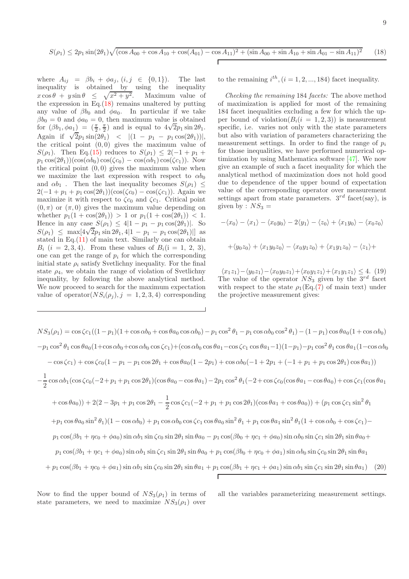<span id="page-8-0"></span>where  $A_{ij} = \beta b_i + \phi a_j$ ,  $(i, j \in \{0, 1\})$ . The last inequality is obtained by using the inequality  $x \cos \theta + y \sin \theta \leq \sqrt{x^2 + y^2}$ . Maximum value of the expression in Eq.[\(18\)](#page-8-0) remains unaltered by putting any value of  $\beta b_0$  and  $\phi a_0$ . In particular if we take  $\beta b_0 = 0$  and  $\phi a_0 = 0$ , then maximum value is obtained for  $(\beta b_1, \phi a_1) = (\frac{\pi}{2}, \frac{\pi}{2})$  and is equal to  $4\sqrt{2}p_1 \sin 2\theta_1$ . Again if  $\sqrt{2}p_1 \sin(2\theta_1)$  <  $|(1 - p_1 - p_1 \cos(2\theta_1))|$ , the critical point  $(0, 0)$  gives the maximum value of S( $\rho_1$ ). Then Eq.[\(15\)](#page-7-6) reduces to  $S(\rho_1) \leq 2(-1 + p_1 + p_2)$  $p_1 \cos(2\theta_1))(\cos(\alpha b_0) \cos(\zeta c_0) - \cos(\alpha b_1) \cos(\zeta c_1)).$  Now the critical point  $(0, 0)$  gives the maximum value when we maximize the last expression with respect to  $\alpha b_0$ and  $\alpha b_1$ . Then the last inequality becomes  $S(\rho_1) \leq$  $2(-1 + p_1 + p_1 \cos(2\theta_1))(\cos(\zeta c_0) - \cos(\zeta c_1))$ . Again we maximize it with respect to  $\zeta_{c_0}$  and  $\zeta_{c_1}$ . Critical point  $(0, \pi)$  or  $(\pi, 0)$  gives the maximum value depending on whether  $p_1(1 + \cos(2\theta_1)) > 1$  or  $p_1(1 + \cos(2\theta_1)) < 1$ . Hence in any case  $S(\rho_1) \leq 4|1 - p_1 - p_1 \cos(2\theta_1)|$ . So  $S(\rho_1) \leq \max[4\sqrt{2p_1}\sin 2\theta_1, 4|1-p_1-p_1\cos(2\theta_1)]$  as stated in Eq. $(11)$  of main text. Similarly one can obtain  $B_i$  (i = 2, 3, 4). From these values of  $B_i$ (i = 1, 2, 3), one can get the range of  $p_i$  for which the corresponding initial state  $\rho_i$  satisfy Svetlichny inequality. For the final state  $\rho_4$ , we obtain the range of violation of Svetlichny inequality, by following the above analytical method. We now proceed to search for the maximum expectation value of operator $(NS_i(\rho_i), j = 1, 2, 3, 4)$  corresponding to the remaining  $i^{th}$ ,  $(i = 1, 2, ..., 184)$  facet inequality.

Checking the remaining 184 facets: The above method of maximization is applied for most of the remaining 184 facet inequalities excluding a few for which the upper bound of violation( $B_i(i = 1, 2, 3)$ ) is measurement specific, i.e. varies not only with the state parameters but also with variation of parameters characterizing the measurement settings. In order to find the range of  $p_i$ for those inequalities, we have performed numerical optimization by using Mathematica software [\[47](#page-6-32)]. We now give an example of such a facet inequality for which the analytical method of maximization does not hold good due to dependence of the upper bound of expectation value of the corresponding operator over measurement settings apart from state parameters.  $3^{rd}$  facet(say), is given by :  $NS_3 =$ 

$$
-\langle x_0 \rangle - \langle x_1 \rangle - \langle x_0 y_0 \rangle - 2 \langle y_1 \rangle - \langle z_0 \rangle + \langle x_1 y_0 \rangle - \langle x_0 z_0 \rangle
$$

$$
+\langle y_0 z_0 \rangle + \langle x_1 y_0 z_0 \rangle - \langle x_0 y_1 z_0 \rangle + \langle x_1 y_1 z_0 \rangle - \langle z_1 \rangle +
$$

 $\langle x_1z_1\rangle-\langle y_0z_1\rangle-\langle x_0y_0z_1\rangle+\langle x_0y_1z_1\rangle+\langle x_1y_1z_1\rangle \leq 4.$  (19) The value of the operator  $NS_3$  given by the  $3^{rd}$  facet with respect to the state  $\rho_1(\text{Eq.}(7)$  $\rho_1(\text{Eq.}(7)$  of main text) under the projective measurement gives:

 $NS_3(\rho_1) = \cos \zeta c_1((1-p_1)(1+\cos\alpha b_0+\cos\theta a_0\cos\alpha b_0) - p_1\cos^2\theta_1 - p_1\cos\alpha b_0\cos^2\theta_1) - (1-p_1)\cos\theta a_0(1+\cos\alpha b_0)$  $-p_1\cos^2\theta_1\cos\theta a_0(1+\cos\alpha b_0+\cos\alpha b_0\cos\zeta c_1)+(\cos\alpha b_0\cos\theta a_1-\cos\zeta c_1\cos\theta a_1-1)(1-p_1)-p_1\cos^2\theta_1\cos\theta a_1(1-\cos\alpha b_0$  $-\cos(\zeta c_1) + \cos(\zeta c_0(1 - p_1 - p_1\cos 2\theta_1 + \cos\theta a_0(1 - 2p_1) + \cos\alpha b_0(-1 + 2p_1 + (-1 + p_1 + p_1\cos 2\theta_1)\cos\theta a_1))$ − 1  $\frac{1}{2}\cos \alpha b_1(\cos \zeta c_0(-2+p_1+p_1\cos 2\theta_1)(\cos\theta a_0-\cos\theta a_1)-2p_1\cos^2\theta_1(-2+\cos\zeta c_0(\cos\theta a_1-\cos\theta a_0)+\cos\zeta c_1(\cos\theta a_1-\cos\theta a_1))$  $(+\cos\theta a_0))+2(2-3p_1+p_1\cos 2\theta_1-\frac{1}{2})$  $\frac{1}{2}\cos\zeta c_1(-2+p_1+p_1\cos 2\theta_1)(\cos\theta a_1+\cos\theta a_0) + (p_1\cos\zeta c_1\sin^2\theta_1)$  $+p_1\cos\theta a_0\sin^2\theta_1(1-\cos\alpha b_0)+p_1\cos\alpha b_0\cos\zeta c_1\cos\theta a_0\sin^2\theta_1+p_1\cos\theta a_1\sin^2\theta_1(1+\cos\alpha b_0+\cos\zeta c_1)$  $p_1 \cos(\beta b_1 + \eta c_0 + \phi a_0) \sin \alpha b_1 \sin \zeta c_0 \sin 2\theta_1 \sin \theta a_0 - p_1 \cos(\beta b_0 + \eta c_1 + \phi a_0) \sin \alpha b_0 \sin \zeta c_1 \sin 2\theta_1 \sin \theta a_0 +$  $p_1 \cos(\beta b_1 + \eta c_1 + \phi a_0) \sin \alpha b_1 \sin \zeta c_1 \sin 2\theta_1 \sin \theta a_0 + p_1 \cos(\beta b_0 + \eta c_0 + \phi a_1) \sin \alpha b_0 \sin \zeta c_0 \sin 2\theta_1 \sin \theta a_1$  $+p_1 \cos(\beta b_1 + \eta c_0 + \phi a_1) \sin \alpha b_1 \sin \zeta c_0 \sin 2\theta_1 \sin \theta a_1 + p_1 \cos(\beta b_1 + \eta c_1 + \phi a_1) \sin \alpha b_1 \sin \zeta c_1 \sin 2\theta_1 \sin \theta a_1$  (20)

Now to find the upper bound of  $NS_3(\rho_1)$  in terms of state parameters, we need to maximize  $NS_3(\rho_1)$  over

all the variables parameterizing measurement settings.